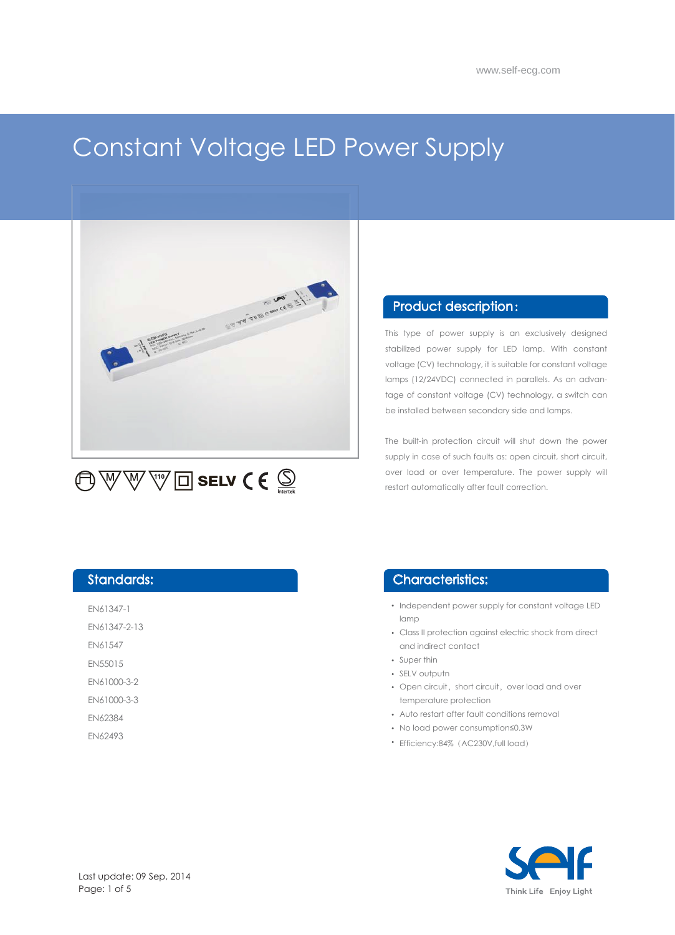# Constant Voltage LED Power Supply



#### Product description :

This type of power supply is an exclusively designed stabilized power supply for LED lamp. With constant voltage (CV) technology, it is suitable for constant voltage lamps (12/24VDC) connected in parallels. As an advantage of constant voltage (CV) technology, a switch can be installed between secondary side and lamps.

The built-in protection circuit will shut down the power supply in case of such faults as: open circuit, short circuit, over load or over temperature. The power supply will restart automatically after fault correction.

#### Standards:

EN61347-1

EN61347-2-13

EN61547 EN55015

EN61000-3-2

EN61000-3-3

EN62384

EN62493

#### Characteristics:

- Independent power supply for constant voltage LED lamp
- Class II protection against electric shock from direct and indirect contact
- Super thin
- SELV outputn
- Open circuit, short circuit, over load and over temperature protection
- Auto restart after fault conditions removal
- No load power consumption≤0.3W
- Efficiency:84% (AC230V,full load)

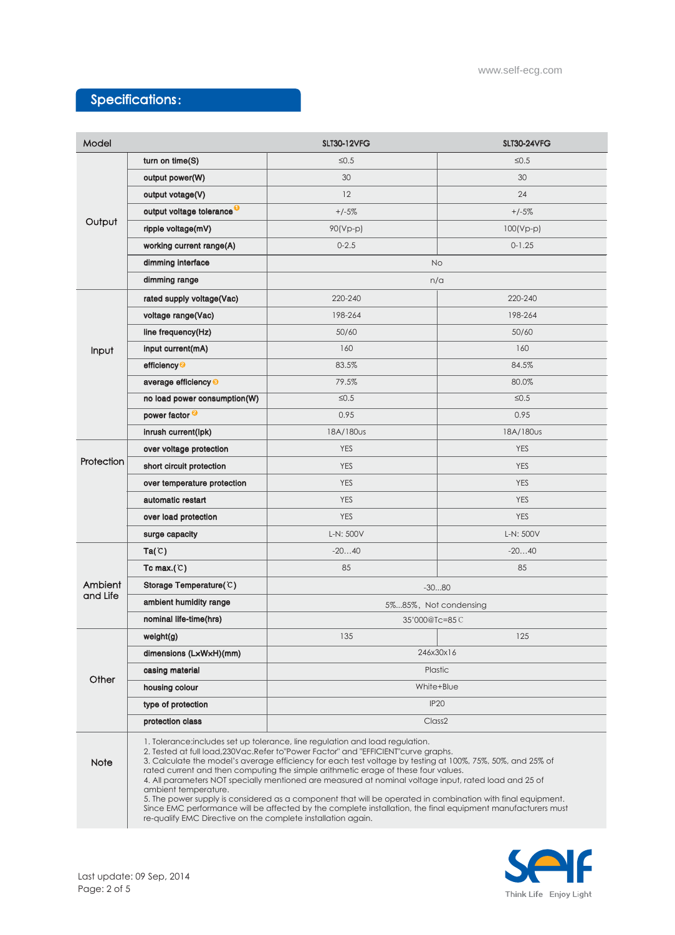# Specifications:

| Model               |                                                                                                                                                                                                                                                                                                                                                                                                                                                                                                                                                                                                                                                                                                                                           | <b>SLT30-12VFG</b>    | <b>SLT30-24VFG</b> |
|---------------------|-------------------------------------------------------------------------------------------------------------------------------------------------------------------------------------------------------------------------------------------------------------------------------------------------------------------------------------------------------------------------------------------------------------------------------------------------------------------------------------------------------------------------------------------------------------------------------------------------------------------------------------------------------------------------------------------------------------------------------------------|-----------------------|--------------------|
| Output              | turn on time(S)                                                                                                                                                                                                                                                                                                                                                                                                                                                                                                                                                                                                                                                                                                                           | $≤0.5$                | $\leq 0.5$         |
|                     | output power(W)                                                                                                                                                                                                                                                                                                                                                                                                                                                                                                                                                                                                                                                                                                                           | 30                    | 30                 |
|                     | output votage(V)                                                                                                                                                                                                                                                                                                                                                                                                                                                                                                                                                                                                                                                                                                                          | 12                    | 24                 |
|                     | output voltage tolerance <sup>O</sup>                                                                                                                                                                                                                                                                                                                                                                                                                                                                                                                                                                                                                                                                                                     | $+/-5%$               | $+/-5%$            |
|                     | ripple voltage(mV)                                                                                                                                                                                                                                                                                                                                                                                                                                                                                                                                                                                                                                                                                                                        | 90(Vp-p)              | $100(Vp-p)$        |
|                     | working current range(A)                                                                                                                                                                                                                                                                                                                                                                                                                                                                                                                                                                                                                                                                                                                  | $0 - 2.5$             | $0 - 1.25$         |
|                     | dimming interface                                                                                                                                                                                                                                                                                                                                                                                                                                                                                                                                                                                                                                                                                                                         | <b>No</b>             |                    |
|                     | dimming range                                                                                                                                                                                                                                                                                                                                                                                                                                                                                                                                                                                                                                                                                                                             | n/a                   |                    |
| Input               | rated supply voltage(Vac)                                                                                                                                                                                                                                                                                                                                                                                                                                                                                                                                                                                                                                                                                                                 | 220-240               | 220-240            |
|                     | voltage range(Vac)                                                                                                                                                                                                                                                                                                                                                                                                                                                                                                                                                                                                                                                                                                                        | 198-264               | 198-264            |
|                     | line frequency(Hz)                                                                                                                                                                                                                                                                                                                                                                                                                                                                                                                                                                                                                                                                                                                        | 50/60                 | 50/60              |
|                     | input current(mA)                                                                                                                                                                                                                                                                                                                                                                                                                                                                                                                                                                                                                                                                                                                         | 160                   | 160                |
|                     | efficiency <sup>2</sup>                                                                                                                                                                                                                                                                                                                                                                                                                                                                                                                                                                                                                                                                                                                   | 83.5%                 | 84.5%              |
|                     | average efficiency <sup>®</sup>                                                                                                                                                                                                                                                                                                                                                                                                                                                                                                                                                                                                                                                                                                           | 79.5%                 | 80.0%              |
|                     | no load power consumption(W)                                                                                                                                                                                                                                                                                                                                                                                                                                                                                                                                                                                                                                                                                                              | $\leq 0.5$            | $\leq 0.5$         |
|                     | power factor <sup>2</sup>                                                                                                                                                                                                                                                                                                                                                                                                                                                                                                                                                                                                                                                                                                                 | 0.95                  | 0.95               |
|                     | inrush current(lpk)                                                                                                                                                                                                                                                                                                                                                                                                                                                                                                                                                                                                                                                                                                                       | 18A/180us             | 18A/180us          |
| Protection          | over voltage protection                                                                                                                                                                                                                                                                                                                                                                                                                                                                                                                                                                                                                                                                                                                   | <b>YES</b>            | <b>YES</b>         |
|                     | short circuit protection                                                                                                                                                                                                                                                                                                                                                                                                                                                                                                                                                                                                                                                                                                                  | <b>YES</b>            | <b>YES</b>         |
|                     | over temperature protection                                                                                                                                                                                                                                                                                                                                                                                                                                                                                                                                                                                                                                                                                                               | <b>YES</b>            | <b>YES</b>         |
|                     | automatic restart                                                                                                                                                                                                                                                                                                                                                                                                                                                                                                                                                                                                                                                                                                                         | <b>YES</b>            | <b>YES</b>         |
|                     | over load protection                                                                                                                                                                                                                                                                                                                                                                                                                                                                                                                                                                                                                                                                                                                      | <b>YES</b>            | <b>YES</b>         |
|                     | surge capacity                                                                                                                                                                                                                                                                                                                                                                                                                                                                                                                                                                                                                                                                                                                            | L-N: 500V             | L-N: 500V          |
| Ambient<br>and Life | Ta(C)                                                                                                                                                                                                                                                                                                                                                                                                                                                                                                                                                                                                                                                                                                                                     | $-2040$               | $-2040$            |
|                     | Tc max.( $C$ )                                                                                                                                                                                                                                                                                                                                                                                                                                                                                                                                                                                                                                                                                                                            | 85                    | 85                 |
|                     | Storage Temperature(C)                                                                                                                                                                                                                                                                                                                                                                                                                                                                                                                                                                                                                                                                                                                    | $-3080$               |                    |
|                     | ambient humidity range                                                                                                                                                                                                                                                                                                                                                                                                                                                                                                                                                                                                                                                                                                                    | 5%85%, Not condensing |                    |
|                     | nominal life-time(hrs)                                                                                                                                                                                                                                                                                                                                                                                                                                                                                                                                                                                                                                                                                                                    | 35'000@Tc=85C         |                    |
| Other               | weight(g)                                                                                                                                                                                                                                                                                                                                                                                                                                                                                                                                                                                                                                                                                                                                 | 135                   | 125                |
|                     | dimensions (LxWxH)(mm)                                                                                                                                                                                                                                                                                                                                                                                                                                                                                                                                                                                                                                                                                                                    | 246x30x16             |                    |
|                     | casing material                                                                                                                                                                                                                                                                                                                                                                                                                                                                                                                                                                                                                                                                                                                           | Plastic               |                    |
|                     | housing colour                                                                                                                                                                                                                                                                                                                                                                                                                                                                                                                                                                                                                                                                                                                            | White+Blue            |                    |
|                     | type of protection                                                                                                                                                                                                                                                                                                                                                                                                                                                                                                                                                                                                                                                                                                                        | <b>IP20</b>           |                    |
|                     | protection class                                                                                                                                                                                                                                                                                                                                                                                                                                                                                                                                                                                                                                                                                                                          | Class <sub>2</sub>    |                    |
| <b>Note</b>         | 1. Tolerance: includes set up tolerance, line regulation and load regulation.<br>2. Tested at full load, 230Vac. Refer to "Power Factor" and "EFFICIENT" curve graphs.<br>3. Calculate the model's average efficiency for each test voltage by testing at 100%, 75%, 50%, and 25% of<br>rated current and then computing the simple arithmetic erage of these four values.<br>4. All parameters NOT specially mentioned are measured at nominal voltage input, rated load and 25 of<br>ambient temperature.<br>5. The power supply is considered as a component that will be operated in combination with final equipment.<br>Since EMC performance will be affected by the complete installation, the final equipment manufacturers must |                       |                    |
|                     | re-qualify EMC Directive on the complete installation again.                                                                                                                                                                                                                                                                                                                                                                                                                                                                                                                                                                                                                                                                              |                       |                    |

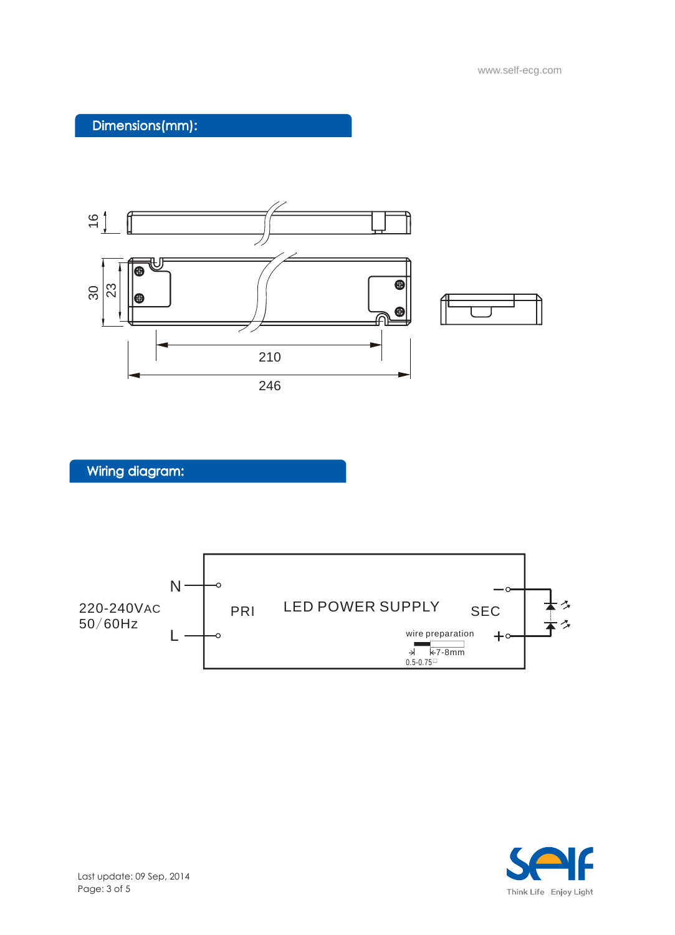# Dimensions(mm):



Wiring diagram:



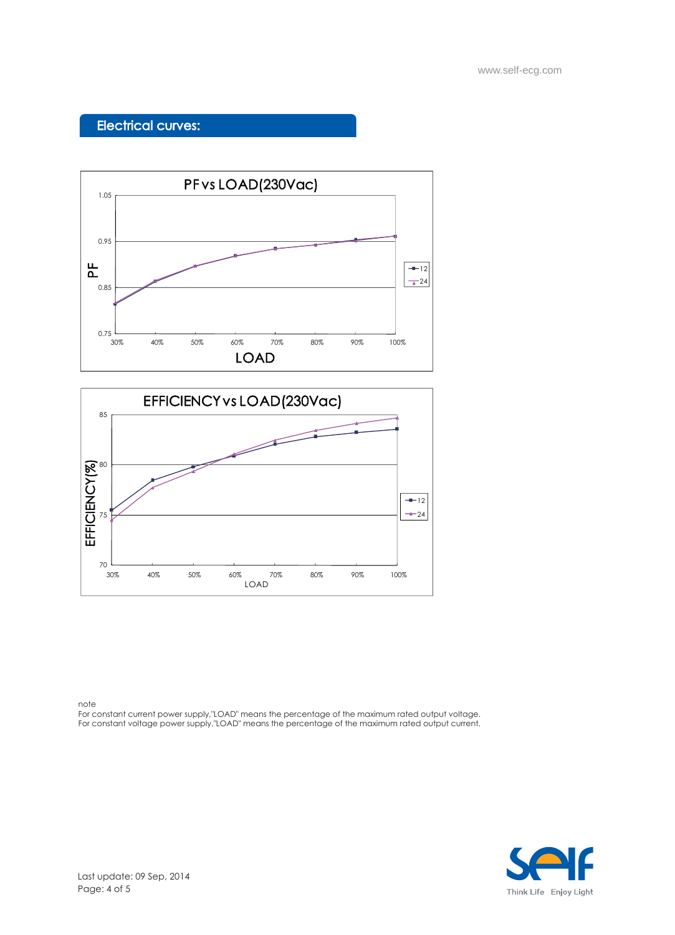### Electrical curves:





note

For constant current power supply,"LOAD" means the percentage of the maximum rated output voltage. For constant voltage power supply,"LOAD" means the percentage of the maximum rated output current.